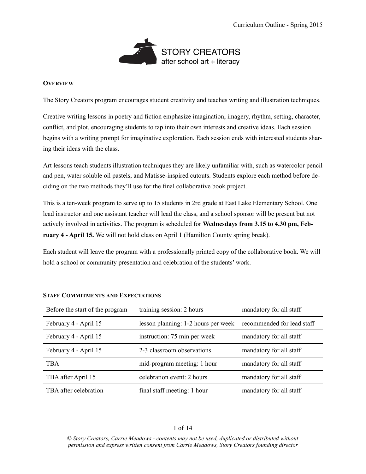

## **OVERVIEW**

The Story Creators program encourages student creativity and teaches writing and illustration techniques.

Creative writing lessons in poetry and fiction emphasize imagination, imagery, rhythm, setting, character, conflict, and plot, encouraging students to tap into their own interests and creative ideas. Each session begins with a writing prompt for imaginative exploration. Each session ends with interested students sharing their ideas with the class.

Art lessons teach students illustration techniques they are likely unfamiliar with, such as watercolor pencil and pen, water soluble oil pastels, and Matisse-inspired cutouts. Students explore each method before deciding on the two methods they'll use for the final collaborative book project.

This is a ten-week program to serve up to 15 students in 2rd grade at East Lake Elementary School. One lead instructor and one assistant teacher will lead the class, and a school sponsor will be present but not actively involved in activities. The program is scheduled for **Wednesdays from 3.15 to 4.30 pm, February 4 - April 15.** We will not hold class on April 1 (Hamilton County spring break).

Each student will leave the program with a professionally printed copy of the collaborative book. We will hold a school or community presentation and celebration of the students' work.

| Before the start of the program | training session: 2 hours           | mandatory for all staff    |
|---------------------------------|-------------------------------------|----------------------------|
| February 4 - April 15           | lesson planning: 1-2 hours per week | recommended for lead staff |
| February 4 - April 15           | instruction: 75 min per week        | mandatory for all staff    |
| February 4 - April 15           | 2-3 classroom observations          | mandatory for all staff    |
| <b>TBA</b>                      | mid-program meeting: 1 hour         | mandatory for all staff    |
| TBA after April 15              | celebration event: 2 hours          | mandatory for all staff    |
| TBA after celebration           | final staff meeting: 1 hour         | mandatory for all staff    |

## **STAFF COMMITMENTS AND EXPECTATIONS**

## 1 of 14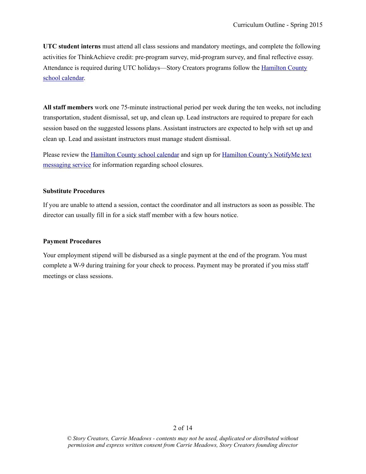**UTC student interns** must attend all class sessions and mandatory meetings, and complete the following activities for ThinkAchieve credit: pre-program survey, mid-program survey, and final reflective essay. [Attendance is required during UTC holidays—Story Creators programs follow the Hamilton County](http://www.hcde.org/?DivisionID=16321)  school calendar.

**All staff members** work one 75-minute instructional period per week during the ten weeks, not including transportation, student dismissal, set up, and clean up. Lead instructors are required to prepare for each session based on the suggested lessons plans. Assistant instructors are expected to help with set up and clean up. Lead and assistant instructors must manage student dismissal.

[Please review the H](http://ele.hcde.org/?PageName=NotifyMe)[amilton County school calendar](http://www.hcde.org/?DivisionID=16321) [and sign up for Hamilton County's NotifyMe text](http://ele.hcde.org/?PageName=NotifyMe)  messaging service for information regarding school closures.

## **Substitute Procedures**

If you are unable to attend a session, contact the coordinator and all instructors as soon as possible. The director can usually fill in for a sick staff member with a few hours notice.

## **Payment Procedures**

Your employment stipend will be disbursed as a single payment at the end of the program. You must complete a W-9 during training for your check to process. Payment may be prorated if you miss staff meetings or class sessions.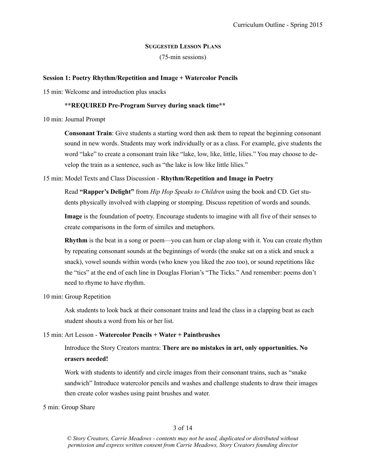## **SUGGESTED LESSON PLANS**

(75-min sessions)

### **Session 1: Poetry Rhythm/Repetition and Image + Watercolor Pencils**

15 min: Welcome and introduction plus snacks

### **\*\*REQUIRED Pre-Program Survey during snack time\*\***

10 min: Journal Prompt

**Consonant Train**: Give students a starting word then ask them to repeat the beginning consonant sound in new words. Students may work individually or as a class. For example, give students the word "lake" to create a consonant train like "lake, low, like, little, lilies." You may choose to develop the train as a sentence, such as "the lake is low like little lilies."

## 15 min: Model Texts and Class Discussion - **Rhythm/Repetition and Image in Poetry**

Read **"Rapper's Delight"** from *Hip Hop Speaks to Children* using the book and CD. Get students physically involved with clapping or stomping. Discuss repetition of words and sounds.

**Image** is the foundation of poetry. Encourage students to imagine with all five of their senses to create comparisons in the form of similes and metaphors.

**Rhythm** is the beat in a song or poem—you can hum or clap along with it. You can create rhythm by repeating consonant sounds at the beginnings of words (the snake sat on a stick and snuck a snack), vowel sounds within words (who knew you liked the zoo too), or sound repetitions like the "tics" at the end of each line in Douglas Florian's "The Ticks." And remember: poems don't need to rhyme to have rhythm.

10 min: Group Repetition

 Ask students to look back at their consonant trains and lead the class in a clapping beat as each student shouts a word from his or her list.

#### 15 min: Art Lesson - **Watercolor Pencils + Water + Paintbrushes**

# Introduce the Story Creators mantra: **There are no mistakes in art, only opportunities. No erasers needed!**

Work with students to identify and circle images from their consonant trains, such as "snake sandwich" Introduce watercolor pencils and washes and challenge students to draw their images then create color washes using paint brushes and water.

5 min: Group Share

## 3 of 14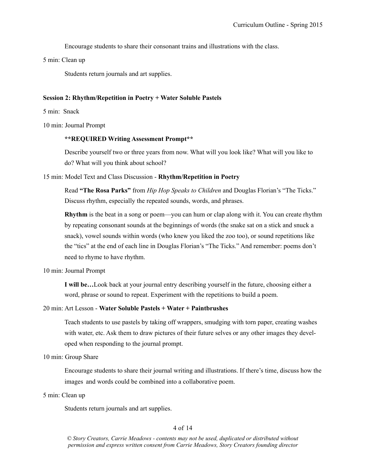Encourage students to share their consonant trains and illustrations with the class.

5 min: Clean up

Students return journals and art supplies.

### **Session 2: Rhythm/Repetition in Poetry + Water Soluble Pastels**

5 min: Snack

10 min: Journal Prompt

### **\*\*REQUIRED Writing Assessment Prompt\*\***

Describe yourself two or three years from now. What will you look like? What will you like to do? What will you think about school?

### 15 min: Model Text and Class Discussion - **Rhythm/Repetition in Poetry**

Read **"The Rosa Parks"** from *Hip Hop Speaks to Children* and Douglas Florian's "The Ticks." Discuss rhythm, especially the repeated sounds, words, and phrases.

**Rhythm** is the beat in a song or poem—you can hum or clap along with it. You can create rhythm by repeating consonant sounds at the beginnings of words (the snake sat on a stick and snuck a snack), vowel sounds within words (who knew you liked the zoo too), or sound repetitions like the "tics" at the end of each line in Douglas Florian's "The Ticks." And remember: poems don't need to rhyme to have rhythm.

10 min: Journal Prompt

**I will be…**Look back at your journal entry describing yourself in the future, choosing either a word, phrase or sound to repeat. Experiment with the repetitions to build a poem.

## 20 min: Art Lesson - **Water Soluble Pastels + Water + Paintbrushes**

Teach students to use pastels by taking off wrappers, smudging with torn paper, creating washes with water, etc. Ask them to draw pictures of their future selves or any other images they developed when responding to the journal prompt.

10 min: Group Share

 Encourage students to share their journal writing and illustrations. If there's time, discuss how the images and words could be combined into a collaborative poem.

5 min: Clean up

Students return journals and art supplies.

## 4 of 14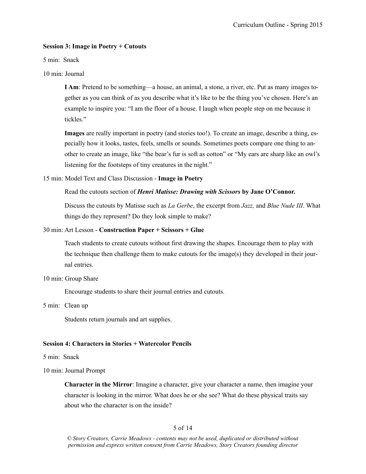## **Session 3: Image in Poetry + Cutouts**

5 min: Snack

10 min: Journal

**I Am**: Pretend to be something—a house, an animal, a stone, a river, etc. Put as many images together as you can think of as you describe what it's like to be the thing you've chosen. Here's an example to inspire you: "I am the floor of a house. I laugh when people step on me because it tickles."

**Images** are really important in poetry (and stories too!). To create an image, describe a thing, especially how it looks, tastes, feels, smells or sounds. Sometimes poets compare one thing to another to create an image, like "the bear's fur is soft as cotton" or "My ears are sharp like an owl's listening for the footsteps of tiny creatures in the night."

### 15 min: Model Text and Class Discussion - **Image in Poetry**

### Read the cutouts section of *Henri Matisse: Drawing with Scissors* **by Jane O'Connor.**

Discuss the cutouts by Matisse such as *La Gerbe*, the excerpt from *Jazz,* and *Blue Nude III*. What things do they represent? Do they look simple to make?

### 30 min: Art Lesson - **Construction Paper + Scissors + Glue**

Teach students to create cutouts without first drawing the shapes. Encourage them to play with the technique then challenge them to make cutouts for the image(s) they developed in their journal entries.

#### 10 min: Group Share

Encourage students to share their journal entries and cutouts.

5 min: Clean up

Students return journals and art supplies.

## **Session 4: Characters in Stories + Watercolor Pencils**

5 min: Snack

10 min: Journal Prompt

**Character in the Mirror**: Imagine a character, give your character a name, then imagine your character is looking in the mirror. What does he or she see? What do these physical traits say about who the character is on the inside?

## 5 of 14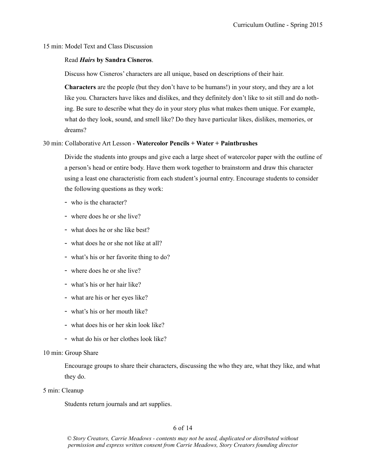15 min: Model Text and Class Discussion

### Read *Hairs* **by Sandra Cisneros**.

Discuss how Cisneros' characters are all unique, based on descriptions of their hair.

**Characters** are the people (but they don't have to be humans!) in your story, and they are a lot like you. Characters have likes and dislikes, and they definitely don't like to sit still and do nothing. Be sure to describe what they do in your story plus what makes them unique. For example, what do they look, sound, and smell like? Do they have particular likes, dislikes, memories, or dreams?

## 30 min: Collaborative Art Lesson - **Watercolor Pencils + Water + Paintbrushes**

Divide the students into groups and give each a large sheet of watercolor paper with the outline of a person's head or entire body. Have them work together to brainstorm and draw this character using a least one characteristic from each student's journal entry. Encourage students to consider the following questions as they work:

- who is the character?
- where does he or she live?
- what does he or she like best?
- what does he or she not like at all?
- what's his or her favorite thing to do?
- where does he or she live?
- what's his or her hair like?
- what are his or her eyes like?
- what's his or her mouth like?
- what does his or her skin look like?
- what do his or her clothes look like?

## 10 min: Group Share

 Encourage groups to share their characters, discussing the who they are, what they like, and what they do.

5 min: Cleanup

Students return journals and art supplies.

# 6 of 14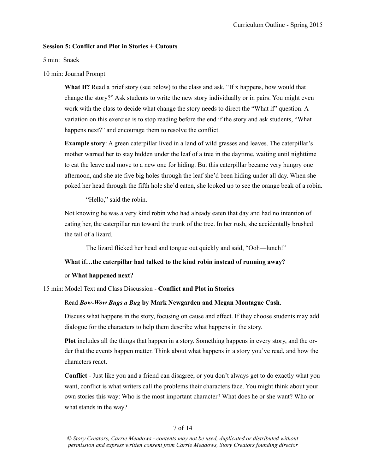## **Session 5: Conflict and Plot in Stories + Cutouts**

5 min: Snack

10 min: Journal Prompt

**What If?** Read a brief story (see below) to the class and ask, "If x happens, how would that change the story?" Ask students to write the new story individually or in pairs. You might even work with the class to decide what change the story needs to direct the "What if" question. A variation on this exercise is to stop reading before the end if the story and ask students, "What happens next?" and encourage them to resolve the conflict.

**Example story**: A green caterpillar lived in a land of wild grasses and leaves. The caterpillar's mother warned her to stay hidden under the leaf of a tree in the daytime, waiting until nighttime to eat the leave and move to a new one for hiding. But this caterpillar became very hungry one afternoon, and she ate five big holes through the leaf she'd been hiding under all day. When she poked her head through the fifth hole she'd eaten, she looked up to see the orange beak of a robin.

"Hello," said the robin.

Not knowing he was a very kind robin who had already eaten that day and had no intention of eating her, the caterpillar ran toward the trunk of the tree. In her rush, she accidentally brushed the tail of a lizard.

The lizard flicked her head and tongue out quickly and said, "Ooh—lunch!"

## **What if…the caterpillar had talked to the kind robin instead of running away?**

## or **What happened next?**

15 min: Model Text and Class Discussion - **Conflict and Plot in Stories**

## Read *Bow-Wow Bugs a Bug* **by Mark Newgarden and Megan Montague Cash**.

Discuss what happens in the story, focusing on cause and effect. If they choose students may add dialogue for the characters to help them describe what happens in the story.

**Plot** includes all the things that happen in a story. Something happens in every story, and the order that the events happen matter. Think about what happens in a story you've read, and how the characters react.

**Conflict** - Just like you and a friend can disagree, or you don't always get to do exactly what you want, conflict is what writers call the problems their characters face. You might think about your own stories this way: Who is the most important character? What does he or she want? Who or what stands in the way?

## 7 of 14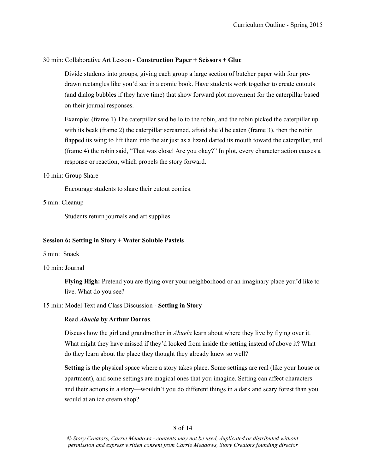### 30 min: Collaborative Art Lesson - **Construction Paper + Scissors + Glue**

Divide students into groups, giving each group a large section of butcher paper with four predrawn rectangles like you'd see in a comic book. Have students work together to create cutouts (and dialog bubbles if they have time) that show forward plot movement for the caterpillar based on their journal responses.

Example: (frame 1) The caterpillar said hello to the robin, and the robin picked the caterpillar up with its beak (frame 2) the caterpillar screamed, afraid she'd be eaten (frame 3), then the robin flapped its wing to lift them into the air just as a lizard darted its mouth toward the caterpillar, and (frame 4) the robin said, "That was close! Are you okay?" In plot, every character action causes a response or reaction, which propels the story forward.

#### 10 min: Group Share

Encourage students to share their cutout comics.

### 5 min: Cleanup

Students return journals and art supplies.

### **Session 6: Setting in Story + Water Soluble Pastels**

- 5 min: Snack
- 10 min: Journal

**Flying High:** Pretend you are flying over your neighborhood or an imaginary place you'd like to live. What do you see?

### 15 min: Model Text and Class Discussion - **Setting in Story**

#### Read *Abuela* **by Arthur Dorros**.

 Discuss how the girl and grandmother in *Abuela* learn about where they live by flying over it. What might they have missed if they'd looked from inside the setting instead of above it? What do they learn about the place they thought they already knew so well?

**Setting** is the physical space where a story takes place. Some settings are real (like your house or apartment), and some settings are magical ones that you imagine. Setting can affect characters and their actions in a story—wouldn't you do different things in a dark and scary forest than you would at an ice cream shop?

## 8 of 14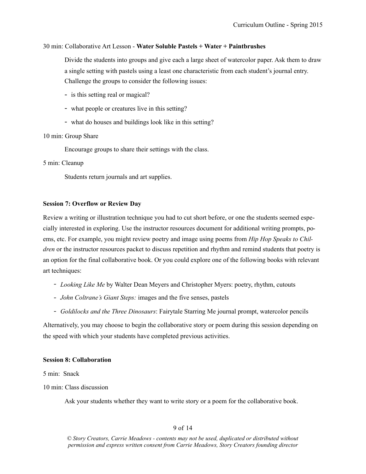### 30 min: Collaborative Art Lesson - **Water Soluble Pastels + Water + Paintbrushes**

Divide the students into groups and give each a large sheet of watercolor paper. Ask them to draw a single setting with pastels using a least one characteristic from each student's journal entry. Challenge the groups to consider the following issues:

- is this setting real or magical?
- what people or creatures live in this setting?
- what do houses and buildings look like in this setting?

#### 10 min: Group Share

Encourage groups to share their settings with the class.

#### 5 min: Cleanup

Students return journals and art supplies.

### **Session 7: Overflow or Review Day**

Review a writing or illustration technique you had to cut short before, or one the students seemed especially interested in exploring. Use the instructor resources document for additional writing prompts, poems, etc. For example, you might review poetry and image using poems from *Hip Hop Speaks to Children* or the instructor resources packet to discuss repetition and rhythm and remind students that poetry is an option for the final collaborative book. Or you could explore one of the following books with relevant art techniques:

- *- Looking Like Me* by Walter Dean Meyers and Christopher Myers: poetry, rhythm, cutouts
- *- John Coltrane's Giant Steps:* images and the five senses, pastels
- *- Goldilocks and the Three Dinosaurs*: Fairytale Starring Me journal prompt, watercolor pencils

Alternatively, you may choose to begin the collaborative story or poem during this session depending on the speed with which your students have completed previous activities.

#### **Session 8: Collaboration**

5 min: Snack

10 min: Class discussion

Ask your students whether they want to write story or a poem for the collaborative book.

## 9 of 14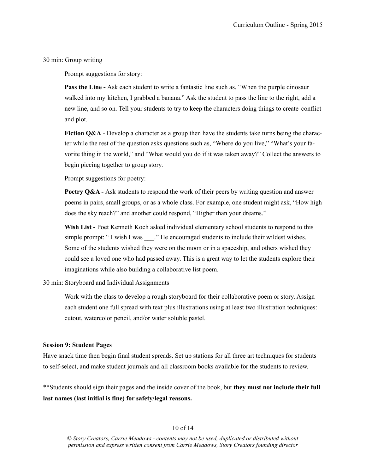30 min: Group writing

Prompt suggestions for story:

**Pass the Line - Ask each student to write a fantastic line such as, "When the purple dinosaur**  walked into my kitchen, I grabbed a banana." Ask the student to pass the line to the right, add a new line, and so on. Tell your students to try to keep the characters doing things to create conflict and plot.

**Fiction O&A** - Develop a character as a group then have the students take turns being the character while the rest of the question asks questions such as, "Where do you live," "What's your favorite thing in the world," and "What would you do if it was taken away?" Collect the answers to begin piecing together to group story.

Prompt suggestions for poetry:

**Poetry O&A** - Ask students to respond the work of their peers by writing question and answer poems in pairs, small groups, or as a whole class. For example, one student might ask, "How high does the sky reach?" and another could respond, "Higher than your dreams."

Wish List - Poet Kenneth Koch asked individual elementary school students to respond to this simple prompt: " I wish I was \_\_\_.." He encouraged students to include their wildest wishes. Some of the students wished they were on the moon or in a spaceship, and others wished they could see a loved one who had passed away. This is a great way to let the students explore their imaginations while also building a collaborative list poem.

30 min: Storyboard and Individual Assignments

Work with the class to develop a rough storyboard for their collaborative poem or story. Assign each student one full spread with text plus illustrations using at least two illustration techniques: cutout, watercolor pencil, and/or water soluble pastel.

#### **Session 9: Student Pages**

Have snack time then begin final student spreads. Set up stations for all three art techniques for students to self-select, and make student journals and all classroom books available for the students to review.

\*\*Students should sign their pages and the inside cover of the book, but **they must not include their full last names (last initial is fine) for safety/legal reasons.**

## 10 of 14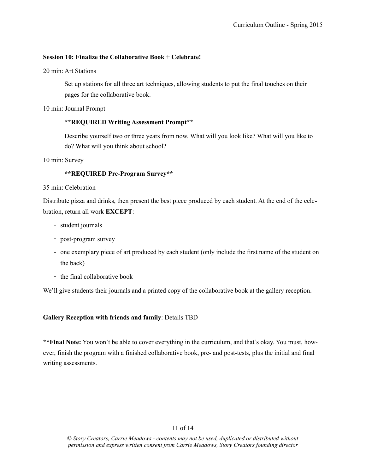## **Session 10: Finalize the Collaborative Book + Celebrate!**

20 min: Art Stations

Set up stations for all three art techniques, allowing students to put the final touches on their pages for the collaborative book.

10 min: Journal Prompt

## **\*\*REQUIRED Writing Assessment Prompt\*\***

Describe yourself two or three years from now. What will you look like? What will you like to do? What will you think about school?

10 min: Survey

## **\*\*REQUIRED Pre-Program Survey\*\***

## 35 min: Celebration

Distribute pizza and drinks, then present the best piece produced by each student. At the end of the celebration, return all work **EXCEPT**:

- *-* student journals
- *-* post-program survey
- *-* one exemplary piece of art produced by each student (only include the first name of the student on the back)
- *-* the final collaborative book

We'll give students their journals and a printed copy of the collaborative book at the gallery reception.

## **Gallery Reception with friends and family**: Details TBD

**\*\*Final Note:** You won't be able to cover everything in the curriculum, and that's okay. You must, however, finish the program with a finished collaborative book, pre- and post-tests, plus the initial and final writing assessments.

## 11 of 14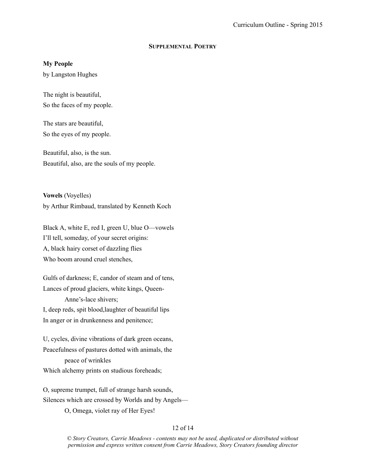## **SUPPLEMENTAL POETRY**

## **My People**

by Langston Hughes

The night is beautiful, So the faces of my people.

The stars are beautiful, So the eyes of my people.

Beautiful, also, is the sun. Beautiful, also, are the souls of my people.

**Vowels** (Voyelles) by Arthur Rimbaud, translated by Kenneth Koch

Black A, white E, red I, green U, blue O—vowels I'll tell, someday, of your secret origins: A, black hairy corset of dazzling flies Who boom around cruel stenches,

Gulfs of darkness; E, candor of steam and of tens, Lances of proud glaciers, white kings, Queen- Anne's-lace shivers; I, deep reds, spit blood,laughter of beautiful lips In anger or in drunkenness and penitence;

U, cycles, divine vibrations of dark green oceans, Peacefulness of pastures dotted with animals, the peace of wrinkles Which alchemy prints on studious foreheads;

O, supreme trumpet, full of strange harsh sounds, Silences which are crossed by Worlds and by Angels— O, Omega, violet ray of Her Eyes!

## 12 of 14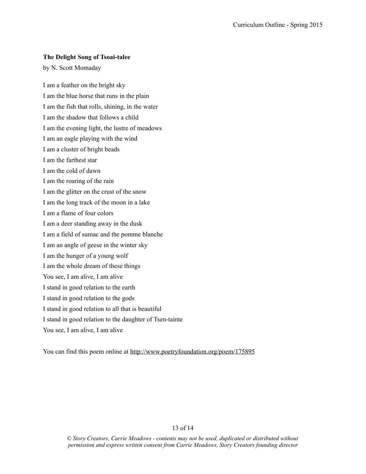## **[The Delight Song of Tsoai-talee](http://www.poetryfoundation.org/poem/175895)**

by [N. Scott Momaday](http://www.poetryfoundation.org/bio/n-scott-momaday)

I am a feather on the bright sky I am the blue horse that runs in the plain I am the fish that rolls, shining, in the water I am the shadow that follows a child I am the evening light, the lustre of meadows I am an eagle playing with the wind I am a cluster of bright beads I am the farthest star I am the cold of dawn I am the roaring of the rain I am the glitter on the crust of the snow I am the long track of the moon in a lake I am a flame of four colors I am a deer standing away in the dusk I am a field of sumac and the pomme blanche I am an angle of geese in the winter sky I am the hunger of a young wolf I am the whole dream of these things You see, I am alive, I am alive I stand in good relation to the earth I stand in good relation to the gods I stand in good relation to all that is beautiful I stand in good relation to the daughter of Tsen-tainte You see, I am alive, I am alive

You can find this poem online at <http://www.poetryfoundation.org/poem/175895>

## 13 of 14